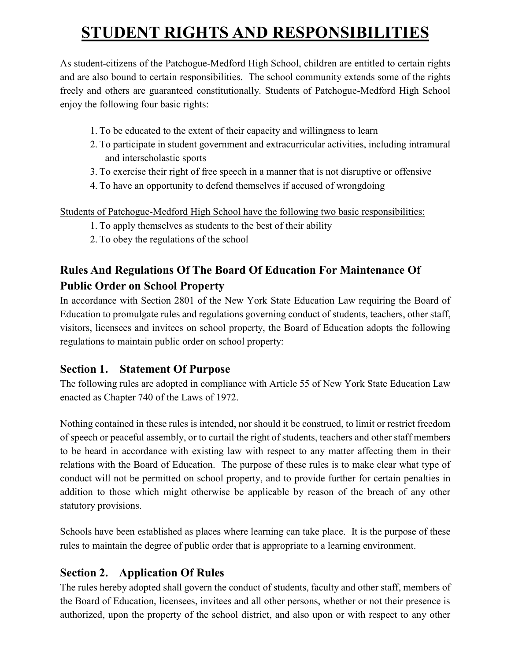# **STUDENT RIGHTS AND RESPONSIBILITIES**

As student-citizens of the Patchogue-Medford High School, children are entitled to certain rights and are also bound to certain responsibilities. The school community extends some of the rights freely and others are guaranteed constitutionally. Students of Patchogue-Medford High School enjoy the following four basic rights:

- 1. To be educated to the extent of their capacity and willingness to learn
- 2. To participate in student government and extracurricular activities, including intramural and interscholastic sports
- 3. To exercise their right of free speech in a manner that is not disruptive or offensive
- 4. To have an opportunity to defend themselves if accused of wrongdoing

Students of Patchogue-Medford High School have the following two basic responsibilities:

- 1. To apply themselves as students to the best of their ability
- 2. To obey the regulations of the school

# **Rules And Regulations Of The Board Of Education For Maintenance Of Public Order on School Property**

In accordance with Section 2801 of the New York State Education Law requiring the Board of Education to promulgate rules and regulations governing conduct of students, teachers, other staff, visitors, licensees and invitees on school property, the Board of Education adopts the following regulations to maintain public order on school property:

## **Section 1. Statement Of Purpose**

The following rules are adopted in compliance with Article 55 of New York State Education Law enacted as Chapter 740 of the Laws of 1972.

Nothing contained in these rules is intended, nor should it be construed, to limit or restrict freedom of speech or peaceful assembly, or to curtail the right of students, teachers and other staff members to be heard in accordance with existing law with respect to any matter affecting them in their relations with the Board of Education. The purpose of these rules is to make clear what type of conduct will not be permitted on school property, and to provide further for certain penalties in addition to those which might otherwise be applicable by reason of the breach of any other statutory provisions.

Schools have been established as places where learning can take place. It is the purpose of these rules to maintain the degree of public order that is appropriate to a learning environment.

# **Section 2. Application Of Rules**

The rules hereby adopted shall govern the conduct of students, faculty and other staff, members of the Board of Education, licensees, invitees and all other persons, whether or not their presence is authorized, upon the property of the school district, and also upon or with respect to any other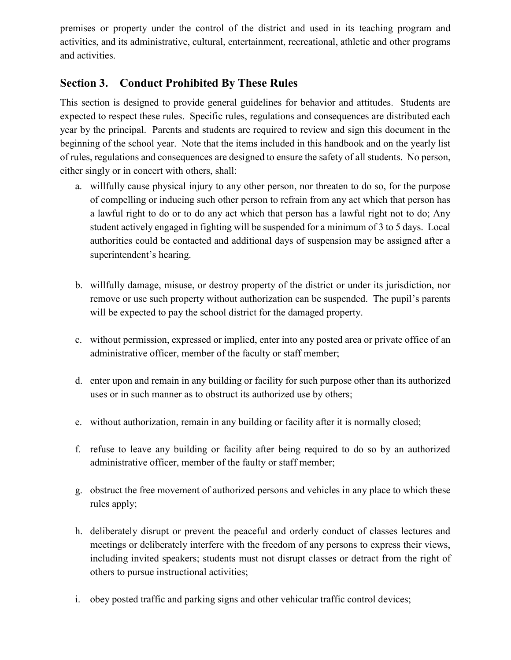premises or property under the control of the district and used in its teaching program and activities, and its administrative, cultural, entertainment, recreational, athletic and other programs and activities.

## **Section 3. Conduct Prohibited By These Rules**

This section is designed to provide general guidelines for behavior and attitudes. Students are expected to respect these rules. Specific rules, regulations and consequences are distributed each year by the principal. Parents and students are required to review and sign this document in the beginning of the school year. Note that the items included in this handbook and on the yearly list of rules, regulations and consequences are designed to ensure the safety of all students. No person, either singly or in concert with others, shall:

- a. willfully cause physical injury to any other person, nor threaten to do so, for the purpose of compelling or inducing such other person to refrain from any act which that person has a lawful right to do or to do any act which that person has a lawful right not to do; Any student actively engaged in fighting will be suspended for a minimum of 3 to 5 days. Local authorities could be contacted and additional days of suspension may be assigned after a superintendent's hearing.
- b. willfully damage, misuse, or destroy property of the district or under its jurisdiction, nor remove or use such property without authorization can be suspended. The pupil's parents will be expected to pay the school district for the damaged property.
- c. without permission, expressed or implied, enter into any posted area or private office of an administrative officer, member of the faculty or staff member;
- d. enter upon and remain in any building or facility for such purpose other than its authorized uses or in such manner as to obstruct its authorized use by others;
- e. without authorization, remain in any building or facility after it is normally closed;
- f. refuse to leave any building or facility after being required to do so by an authorized administrative officer, member of the faulty or staff member;
- g. obstruct the free movement of authorized persons and vehicles in any place to which these rules apply;
- h. deliberately disrupt or prevent the peaceful and orderly conduct of classes lectures and meetings or deliberately interfere with the freedom of any persons to express their views, including invited speakers; students must not disrupt classes or detract from the right of others to pursue instructional activities;
- i. obey posted traffic and parking signs and other vehicular traffic control devices;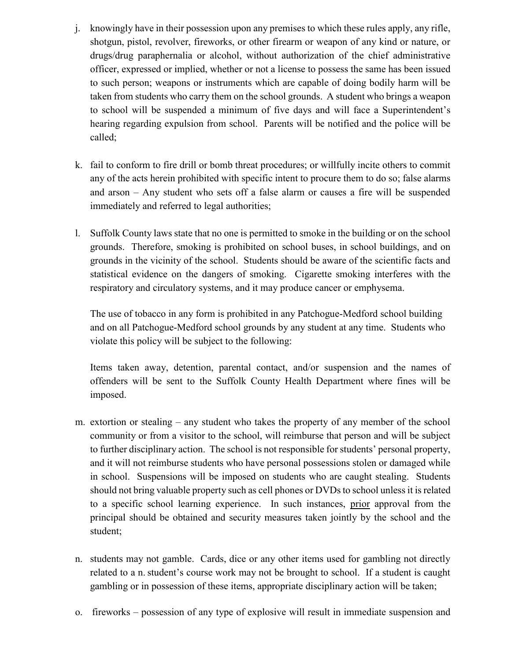- j. knowingly have in their possession upon any premises to which these rules apply, any rifle, shotgun, pistol, revolver, fireworks, or other firearm or weapon of any kind or nature, or drugs/drug paraphernalia or alcohol, without authorization of the chief administrative officer, expressed or implied, whether or not a license to possess the same has been issued to such person; weapons or instruments which are capable of doing bodily harm will be taken from students who carry them on the school grounds. A student who brings a weapon to school will be suspended a minimum of five days and will face a Superintendent's hearing regarding expulsion from school. Parents will be notified and the police will be called;
- k. fail to conform to fire drill or bomb threat procedures; or willfully incite others to commit any of the acts herein prohibited with specific intent to procure them to do so; false alarms and arson – Any student who sets off a false alarm or causes a fire will be suspended immediately and referred to legal authorities;
- l. Suffolk County laws state that no one is permitted to smoke in the building or on the school grounds. Therefore, smoking is prohibited on school buses, in school buildings, and on grounds in the vicinity of the school. Students should be aware of the scientific facts and statistical evidence on the dangers of smoking. Cigarette smoking interferes with the respiratory and circulatory systems, and it may produce cancer or emphysema.

The use of tobacco in any form is prohibited in any Patchogue-Medford school building and on all Patchogue-Medford school grounds by any student at any time. Students who violate this policy will be subject to the following:

Items taken away, detention, parental contact, and/or suspension and the names of offenders will be sent to the Suffolk County Health Department where fines will be imposed.

- m. extortion or stealing any student who takes the property of any member of the school community or from a visitor to the school, will reimburse that person and will be subject to further disciplinary action. The school is not responsible for students' personal property, and it will not reimburse students who have personal possessions stolen or damaged while in school. Suspensions will be imposed on students who are caught stealing. Students should not bring valuable property such as cell phones or DVDs to school unless it is related to a specific school learning experience. In such instances, prior approval from the principal should be obtained and security measures taken jointly by the school and the student;
- n. students may not gamble. Cards, dice or any other items used for gambling not directly related to a n.student's course work may not be brought to school. If a student is caught gambling or in possession of these items, appropriate disciplinary action will be taken;
- o. fireworks possession of any type of explosive will result in immediate suspension and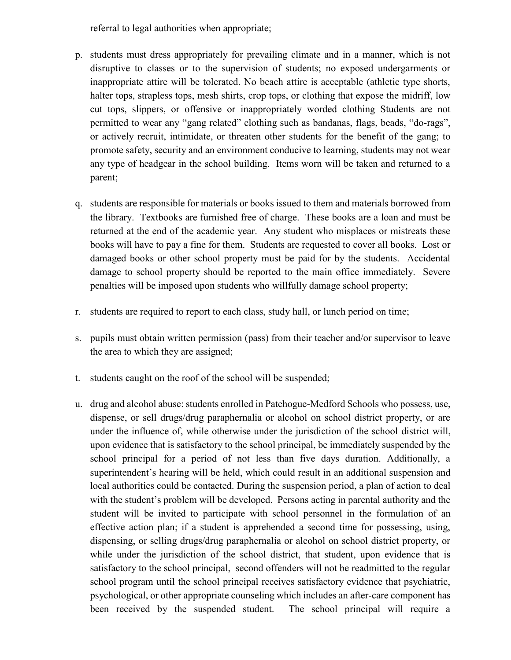referral to legal authorities when appropriate;

- p. students must dress appropriately for prevailing climate and in a manner, which is not disruptive to classes or to the supervision of students; no exposed undergarments or inappropriate attire will be tolerated. No beach attire is acceptable (athletic type shorts, halter tops, strapless tops, mesh shirts, crop tops, or clothing that expose the midriff, low cut tops, slippers, or offensive or inappropriately worded clothing Students are not permitted to wear any "gang related" clothing such as bandanas, flags, beads, "do-rags", or actively recruit, intimidate, or threaten other students for the benefit of the gang; to promote safety, security and an environment conducive to learning, students may not wear any type of headgear in the school building. Items worn will be taken and returned to a parent;
- q. students are responsible for materials or books issued to them and materials borrowed from the library. Textbooks are furnished free of charge. These books are a loan and must be returned at the end of the academic year. Any student who misplaces or mistreats these books will have to pay a fine for them. Students are requested to cover all books. Lost or damaged books or other school property must be paid for by the students. Accidental damage to school property should be reported to the main office immediately. Severe penalties will be imposed upon students who willfully damage school property;
- r. students are required to report to each class, study hall, or lunch period on time;
- s. pupils must obtain written permission (pass) from their teacher and/or supervisor to leave the area to which they are assigned;
- t. students caught on the roof of the school will be suspended;
- u. drug and alcohol abuse: students enrolled in Patchogue-Medford Schools who possess, use, dispense, or sell drugs/drug paraphernalia or alcohol on school district property, or are under the influence of, while otherwise under the jurisdiction of the school district will, upon evidence that is satisfactory to the school principal, be immediately suspended by the school principal for a period of not less than five days duration. Additionally, a superintendent's hearing will be held, which could result in an additional suspension and local authorities could be contacted. During the suspension period, a plan of action to deal with the student's problem will be developed. Persons acting in parental authority and the student will be invited to participate with school personnel in the formulation of an effective action plan; if a student is apprehended a second time for possessing, using, dispensing, or selling drugs/drug paraphernalia or alcohol on school district property, or while under the jurisdiction of the school district, that student, upon evidence that is satisfactory to the school principal, second offenders will not be readmitted to the regular school program until the school principal receives satisfactory evidence that psychiatric, psychological, or other appropriate counseling which includes an after-care component has been received by the suspended student. The school principal will require a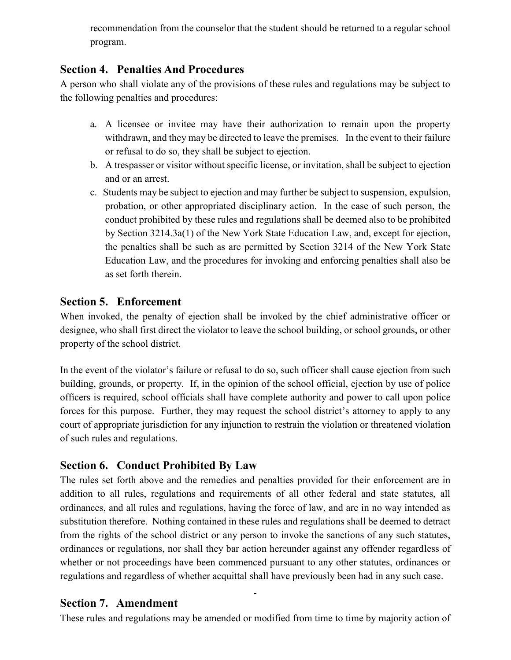recommendation from the counselor that the student should be returned to a regular school program.

#### **Section 4. Penalties And Procedures**

A person who shall violate any of the provisions of these rules and regulations may be subject to the following penalties and procedures:

- a. A licensee or invitee may have their authorization to remain upon the property withdrawn, and they may be directed to leave the premises. In the event to their failure or refusal to do so, they shall be subject to ejection.
- b. A trespasser or visitor without specific license, or invitation, shall be subject to ejection and or an arrest.
- c. Students may be subject to ejection and may further be subject to suspension, expulsion, probation, or other appropriated disciplinary action. In the case of such person, the conduct prohibited by these rules and regulations shall be deemed also to be prohibited by Section 3214.3a(1) of the New York State Education Law, and, except for ejection, the penalties shall be such as are permitted by Section 3214 of the New York State Education Law, and the procedures for invoking and enforcing penalties shall also be as set forth therein.

#### **Section 5. Enforcement**

When invoked, the penalty of ejection shall be invoked by the chief administrative officer or designee, who shall first direct the violator to leave the school building, or school grounds, or other property of the school district.

In the event of the violator's failure or refusal to do so, such officer shall cause ejection from such building, grounds, or property. If, in the opinion of the school official, ejection by use of police officers is required, school officials shall have complete authority and power to call upon police forces for this purpose. Further, they may request the school district's attorney to apply to any court of appropriate jurisdiction for any injunction to restrain the violation or threatened violation of such rules and regulations.

#### **Section 6. Conduct Prohibited By Law**

The rules set forth above and the remedies and penalties provided for their enforcement are in addition to all rules, regulations and requirements of all other federal and state statutes, all ordinances, and all rules and regulations, having the force of law, and are in no way intended as substitution therefore. Nothing contained in these rules and regulations shall be deemed to detract from the rights of the school district or any person to invoke the sanctions of any such statutes, ordinances or regulations, nor shall they bar action hereunder against any offender regardless of whether or not proceedings have been commenced pursuant to any other statutes, ordinances or regulations and regardless of whether acquittal shall have previously been had in any such case.

#### **Section 7. Amendment**

These rules and regulations may be amended or modified from time to time by majority action of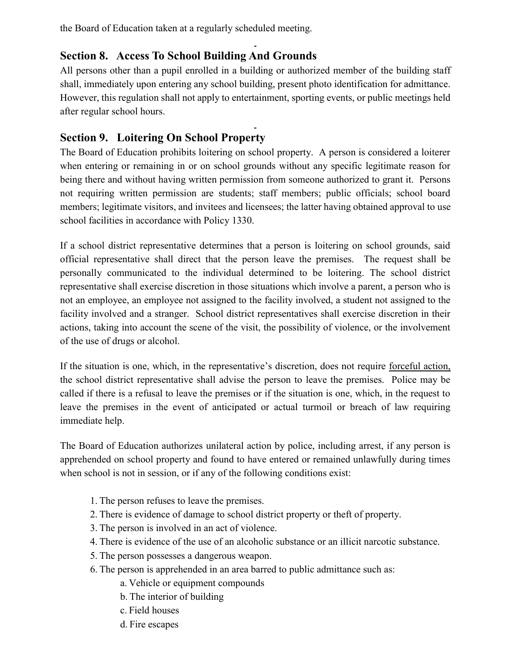the Board of Education taken at a regularly scheduled meeting.

# **Section 8. Access To School Building And Grounds**

All persons other than a pupil enrolled in a building or authorized member of the building staff shall, immediately upon entering any school building, present photo identification for admittance. However, this regulation shall not apply to entertainment, sporting events, or public meetings held after regular school hours.

# **Section 9. Loitering On School Property**

The Board of Education prohibits loitering on school property. A person is considered a loiterer when entering or remaining in or on school grounds without any specific legitimate reason for being there and without having written permission from someone authorized to grant it. Persons not requiring written permission are students; staff members; public officials; school board members; legitimate visitors, and invitees and licensees; the latter having obtained approval to use school facilities in accordance with Policy 1330.

If a school district representative determines that a person is loitering on school grounds, said official representative shall direct that the person leave the premises. The request shall be personally communicated to the individual determined to be loitering. The school district representative shall exercise discretion in those situations which involve a parent, a person who is not an employee, an employee not assigned to the facility involved, a student not assigned to the facility involved and a stranger. School district representatives shall exercise discretion in their actions, taking into account the scene of the visit, the possibility of violence, or the involvement of the use of drugs or alcohol.

If the situation is one, which, in the representative's discretion, does not require forceful action, the school district representative shall advise the person to leave the premises. Police may be called if there is a refusal to leave the premises or if the situation is one, which, in the request to leave the premises in the event of anticipated or actual turmoil or breach of law requiring immediate help.

The Board of Education authorizes unilateral action by police, including arrest, if any person is apprehended on school property and found to have entered or remained unlawfully during times when school is not in session, or if any of the following conditions exist:

- 1. The person refuses to leave the premises.
- 2. There is evidence of damage to school district property or theft of property.
- 3. The person is involved in an act of violence.
- 4. There is evidence of the use of an alcoholic substance or an illicit narcotic substance.
- 5. The person possesses a dangerous weapon.
- 6. The person is apprehended in an area barred to public admittance such as:
	- a. Vehicle or equipment compounds
	- b. The interior of building
	- c. Field houses
	- d. Fire escapes